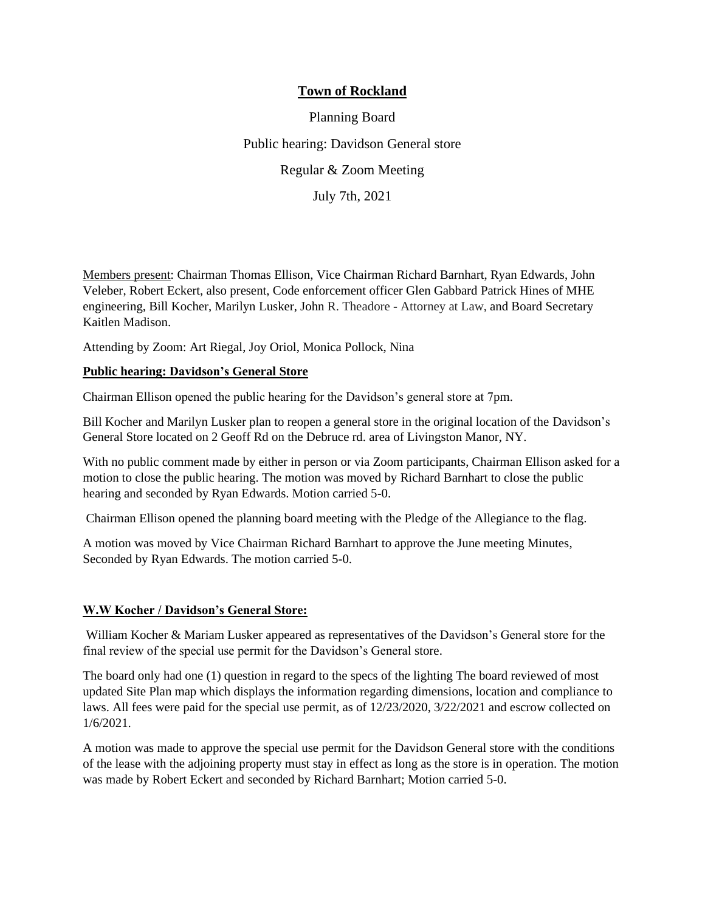# **Town of Rockland**

Planning Board Public hearing: Davidson General store Regular & Zoom Meeting July 7th, 2021

Members present: Chairman Thomas Ellison, Vice Chairman Richard Barnhart, Ryan Edwards, John Veleber, Robert Eckert, also present, Code enforcement officer Glen Gabbard Patrick Hines of MHE engineering, Bill Kocher, Marilyn Lusker, John R. Theadore - Attorney at Law, and Board Secretary Kaitlen Madison.

Attending by Zoom: Art Riegal, Joy Oriol, Monica Pollock, Nina

#### **Public hearing: Davidson's General Store**

Chairman Ellison opened the public hearing for the Davidson's general store at 7pm.

Bill Kocher and Marilyn Lusker plan to reopen a general store in the original location of the Davidson's General Store located on 2 Geoff Rd on the Debruce rd. area of Livingston Manor, NY.

With no public comment made by either in person or via Zoom participants, Chairman Ellison asked for a motion to close the public hearing. The motion was moved by Richard Barnhart to close the public hearing and seconded by Ryan Edwards. Motion carried 5-0.

Chairman Ellison opened the planning board meeting with the Pledge of the Allegiance to the flag.

A motion was moved by Vice Chairman Richard Barnhart to approve the June meeting Minutes, Seconded by Ryan Edwards. The motion carried 5-0.

#### **W.W Kocher / Davidson's General Store:**

William Kocher & Mariam Lusker appeared as representatives of the Davidson's General store for the final review of the special use permit for the Davidson's General store.

The board only had one (1) question in regard to the specs of the lighting The board reviewed of most updated Site Plan map which displays the information regarding dimensions, location and compliance to laws. All fees were paid for the special use permit, as of 12/23/2020, 3/22/2021 and escrow collected on 1/6/2021.

A motion was made to approve the special use permit for the Davidson General store with the conditions of the lease with the adjoining property must stay in effect as long as the store is in operation. The motion was made by Robert Eckert and seconded by Richard Barnhart; Motion carried 5-0.